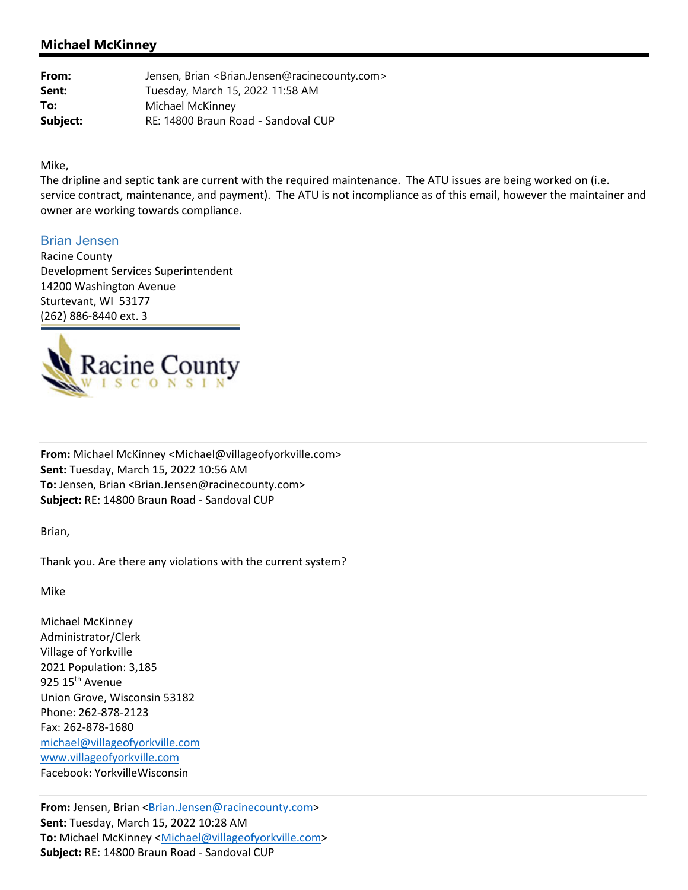## **Michael McKinney**

| From:    | Jensen, Brian <brian.jensen@racinecounty.com></brian.jensen@racinecounty.com> |
|----------|-------------------------------------------------------------------------------|
| Sent:    | Tuesday, March 15, 2022 11:58 AM                                              |
| To:      | Michael McKinney                                                              |
| Subject: | RE: 14800 Braun Road - Sandoval CUP                                           |

Mike,

The dripline and septic tank are current with the required maintenance. The ATU issues are being worked on (i.e. service contract, maintenance, and payment). The ATU is not incompliance as of this email, however the maintainer and owner are working towards compliance.

## Brian Jensen

Racine County Development Services Superintendent 14200 Washington Avenue Sturtevant, WI 53177 (262) 886‐8440 ext. 3



**From:** Michael McKinney <Michael@villageofyorkville.com> **Sent:** Tuesday, March 15, 2022 10:56 AM **To:** Jensen, Brian <Brian.Jensen@racinecounty.com> **Subject:** RE: 14800 Braun Road ‐ Sandoval CUP

Brian,

Thank you. Are there any violations with the current system?

Mike

Michael McKinney Administrator/Clerk Village of Yorkville 2021 Population: 3,185 925 15<sup>th</sup> Avenue Union Grove, Wisconsin 53182 Phone: 262‐878‐2123 Fax: 262‐878‐1680 michael@villageofyorkville.com www.villageofyorkville.com Facebook: YorkvilleWisconsin

**From:** Jensen, Brian <Brian.Jensen@racinecounty.com> **Sent:** Tuesday, March 15, 2022 10:28 AM **To:** Michael McKinney <Michael@villageofyorkville.com> **Subject:** RE: 14800 Braun Road ‐ Sandoval CUP